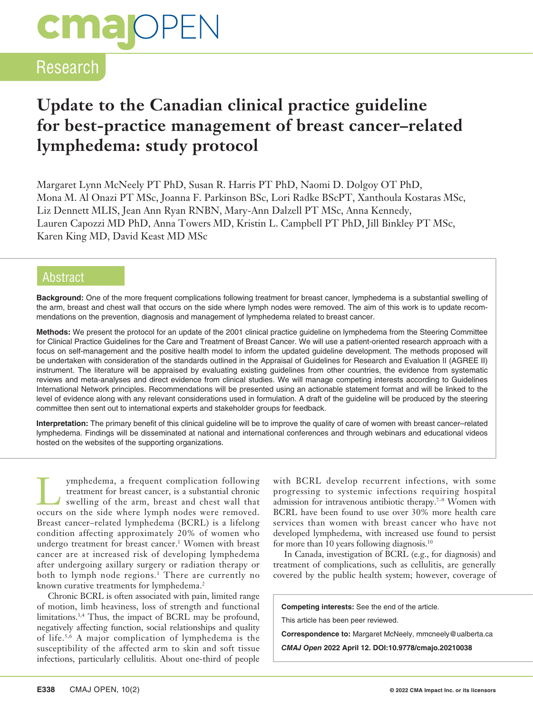# **cmajoPEN**

### Research

### **Update to the Canadian clinical practice guideline for best-practice management of breast cancer–related lymphedema: study protocol**

Margaret Lynn McNeely PT PhD, Susan R. Harris PT PhD, Naomi D. Dolgoy OT PhD, Mona M. Al Onazi PT MSc, Joanna F. Parkinson BSc, Lori Radke BScPT, Xanthoula Kostaras MSc, Liz Dennett MLIS, Jean Ann Ryan RNBN, Mary-Ann Dalzell PT MSc, Anna Kennedy, Lauren Capozzi MD PhD, Anna Towers MD, Kristin L. Campbell PT PhD, Jill Binkley PT MSc, Karen King MD, David Keast MD MSc

### Abstract

**Background:** One of the more frequent complications following treatment for breast cancer, lymphedema is a substantial swelling of the arm, breast and chest wall that occurs on the side where lymph nodes were removed. The aim of this work is to update recommendations on the prevention, diagnosis and management of lymphedema related to breast cancer.

**Methods:** We present the protocol for an update of the 2001 clinical practice guideline on lymphedema from the Steering Committee for Clinical Practice Guidelines for the Care and Treatment of Breast Cancer. We will use a patient-oriented research approach with a focus on self-management and the positive health model to inform the updated guideline development. The methods proposed will be undertaken with consideration of the standards outlined in the Appraisal of Guidelines for Research and Evaluation II (AGREE II) instrument. The literature will be appraised by evaluating existing guidelines from other countries, the evidence from systematic reviews and meta-analyses and direct evidence from clinical studies. We will manage competing interests according to Guidelines International Network principles. Recommendations will be presented using an actionable statement format and will be linked to the level of evidence along with any relevant considerations used in formulation. A draft of the guideline will be produced by the steering committee then sent out to international experts and stakeholder groups for feedback.

**Interpretation:** The primary benefit of this clinical guideline will be to improve the quality of care of women with breast cancer–related lymphedema. Findings will be disseminated at national and international conferences and through webinars and educational videos hosted on the websites of the supporting organizations.

Lymphedema, a frequent complication following treatment for breast cancer, is a substantial chronic swelling of the arm, breast and chest wall that occurs on the side where lymph nodes were removed. Breast cancer–related lymphedema (BCRL) is a lifelong condition affecting approximately 20% of women who undergo treatment for breast cancer.<sup>1</sup> Women with breast cancer are at increased risk of developing lymphedema after undergoing axillary surgery or radiation therapy or both to lymph node regions.<sup>1</sup> There are currently no known curative treatments for lymphedema.<sup>2</sup>

Chronic BCRL is often associated with pain, limited range of motion, limb heaviness, loss of strength and functional limitations.3,4 Thus, the impact of BCRL may be profound, negatively affecting function, social relationships and quality of life.5,6 A major complication of lymphedema is the susceptibility of the affected arm to skin and soft tissue infections, particularly cellulitis. About one-third of people with BCRL develop recurrent infections, with some progressing to systemic infections requiring hospital admission for intravenous antibiotic therapy.7–9 Women with BCRL have been found to use over 30% more health care services than women with breast cancer who have not developed lymphedema, with increased use found to persist for more than 10 years following diagnosis.<sup>10</sup>

In Canada, investigation of BCRL (e.g., for diagnosis) and treatment of complications, such as cellulitis, are generally covered by the public health system; however, coverage of

**Competing interests:** See the end of the article.

This article has been peer reviewed.

**Correspondence to:** Margaret McNeely, mmcneely@ualberta.ca

*CMAJ Open* **2022 April 12. DOI:10.9778/cmajo.20210038**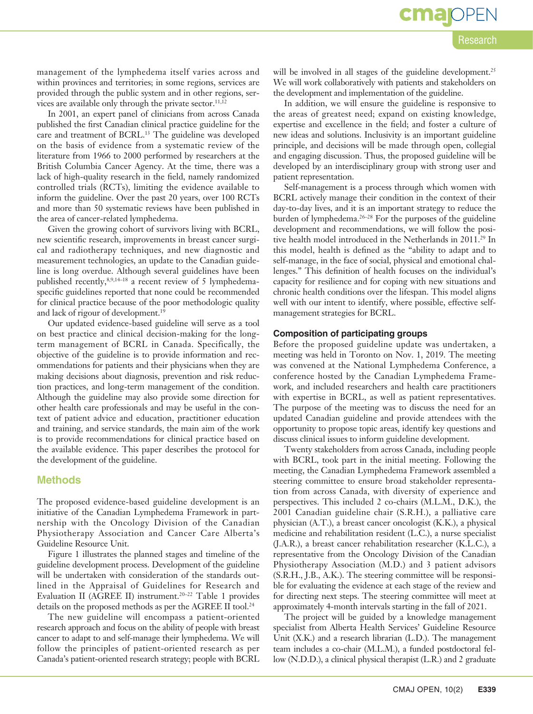## **cma**<sub>OP</sub>

### Research

management of the lymphedema itself varies across and within provinces and territories; in some regions, services are provided through the public system and in other regions, services are available only through the private sector. $11,12$ 

In 2001, an expert panel of clinicians from across Canada published the first Canadian clinical practice guideline for the care and treatment of BCRL.<sup>13</sup> The guideline was developed on the basis of evidence from a systematic review of the literature from 1966 to 2000 performed by researchers at the British Columbia Cancer Agency. At the time, there was a lack of high-quality research in the field, namely randomized controlled trials (RCTs), limiting the evidence available to inform the guideline. Over the past 20 years, over 100 RCTs and more than 50 systematic reviews have been published in the area of cancer-related lymphedema.

Given the growing cohort of survivors living with BCRL, new scientific research, improvements in breast cancer surgical and radiotherapy techniques, and new diagnostic and measurement technologies, an update to the Canadian guideline is long overdue. Although several guidelines have been published recently,<sup>8,9,14-18</sup> a recent review of 5 lymphedemaspecific guidelines reported that none could be recommended for clinical practice because of the poor methodologic quality and lack of rigour of development.19

Our updated evidence-based guideline will serve as a tool on best practice and clinical decision-making for the longterm management of BCRL in Canada. Specifically, the objective of the guideline is to provide information and recommendations for patients and their physicians when they are making decisions about diagnosis, prevention and risk reduction practices, and long-term management of the condition. Although the guideline may also provide some direction for other health care professionals and may be useful in the context of patient advice and education, practitioner education and training, and service standards, the main aim of the work is to provide recommendations for clinical practice based on the available evidence. This paper describes the protocol for the development of the guideline.

### **Methods**

The proposed evidence-based guideline development is an initiative of the Canadian Lymphedema Framework in partnership with the Oncology Division of the Canadian Physiotherapy Association and Cancer Care Alberta's Guideline Resource Unit.

Figure 1 illustrates the planned stages and timeline of the guideline development process. Development of the guideline will be undertaken with consideration of the standards outlined in the Appraisal of Guidelines for Research and Evaluation II (AGREE II) instrument.20–22 Table 1 provides details on the proposed methods as per the AGREE II tool.<sup>24</sup>

The new guideline will encompass a patient-oriented research approach and focus on the ability of people with breast cancer to adapt to and self-manage their lymphedema. We will follow the principles of patient-oriented research as per Canada's patient-oriented research strategy; people with BCRL

will be involved in all stages of the guideline development.<sup>25</sup> We will work collaboratively with patients and stakeholders on the development and implementation of the guideline.

In addition, we will ensure the guideline is responsive to the areas of greatest need; expand on existing knowledge, expertise and excellence in the field; and foster a culture of new ideas and solutions. Inclusivity is an important guideline principle, and decisions will be made through open, collegial and engaging discussion. Thus, the proposed guideline will be developed by an interdisciplinary group with strong user and patient representation.

Self-management is a process through which women with BCRL actively manage their condition in the context of their day-to-day lives, and it is an important strategy to reduce the burden of lymphedema.26–28 For the purposes of the guideline development and recommendations, we will follow the positive health model introduced in the Netherlands in 2011.29 In this model, health is defined as the "ability to adapt and to self-manage, in the face of social, physical and emotional challenges." This definition of health focuses on the individual's capacity for resilience and for coping with new situations and chronic health conditions over the lifespan. This model aligns well with our intent to identify, where possible, effective selfmanagement strategies for BCRL.

### **Composition of participating groups**

Before the proposed guideline update was undertaken, a meeting was held in Toronto on Nov. 1, 2019. The meeting was convened at the National Lymphedema Conference, a conference hosted by the Canadian Lymphedema Framework, and included researchers and health care practitioners with expertise in BCRL, as well as patient representatives. The purpose of the meeting was to discuss the need for an updated Canadian guideline and provide attendees with the opportunity to propose topic areas, identify key questions and discuss clinical issues to inform guideline development.

Twenty stakeholders from across Canada, including people with BCRL, took part in the initial meeting. Following the meeting, the Canadian Lymphedema Framework assembled a steering committee to ensure broad stakeholder representation from across Canada, with diversity of experience and perspectives. This included 2 co-chairs (M.L.M., D.K.), the 2001 Canadian guideline chair (S.R.H.), a palliative care physician (A.T.), a breast cancer oncologist (K.K.), a physical medicine and rehabilitation resident (L.C.), a nurse specialist (J.A.R.), a breast cancer rehabilitation researcher (K.L.C.), a representative from the Oncology Division of the Canadian Physiotherapy Association (M.D.) and 3 patient advisors (S.R.H., J.B., A.K.). The steering committee will be responsible for evaluating the evidence at each stage of the review and for directing next steps. The steering committee will meet at approximately 4-month intervals starting in the fall of 2021.

The project will be guided by a knowledge management specialist from Alberta Health Services' Guideline Resource Unit (X.K.) and a research librarian (L.D.). The management team includes a co-chair (M.L.M.), a funded postdoctoral fellow (N.D.D.), a clinical physical therapist (L.R.) and 2 graduate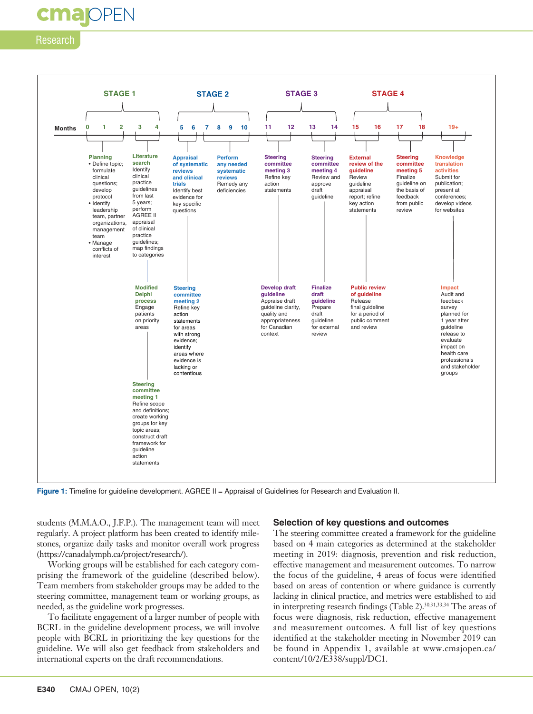### **cmalOPEN**

### Research



**Figure 1:** Timeline for guideline development. AGREE II = Appraisal of Guidelines for Research and Evaluation II.

students (M.M.A.O., J.F.P.). The management team will meet regularly. A project platform has been created to identify milestones, organize daily tasks and monitor overall work progress (https://canadalymph.ca/project/research/).

Working groups will be established for each category comprising the framework of the guideline (described below). Team members from stakeholder groups may be added to the steering committee, management team or working groups, as needed, as the guideline work progresses.

To facilitate engagement of a larger number of people with BCRL in the guideline development process, we will involve people with BCRL in prioritizing the key questions for the guideline. We will also get feedback from stakeholders and international experts on the draft recommendations.

#### **Selection of key questions and outcomes**

The steering committee created a framework for the guideline based on 4 main categories as determined at the stakeholder meeting in 2019: diagnosis, prevention and risk reduction, effective management and measurement outcomes. To narrow the focus of the guideline, 4 areas of focus were identified based on areas of contention or where guidance is currently lacking in clinical practice, and metrics were established to aid in interpreting research findings (Table 2).<sup>30,31,33,34</sup> The areas of focus were diagnosis, risk reduction, effective management and measurement outcomes. A full list of key questions identified at the stakeholder meeting in November 2019 can be found in Appendix 1, available at www.cmajopen.ca/ content/10/2/E338/suppl/DC1.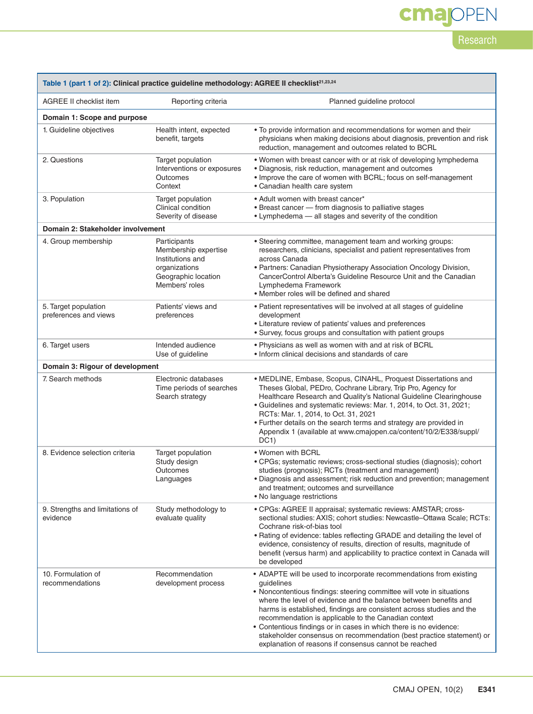# **cmajOPEN**

Research

| Table 1 (part 1 of 2): Clinical practice guideline methodology: AGREE II checklist <sup>21,23,24</sup> |                                                                                                                    |                                                                                                                                                                                                                                                                                                                                                                                                                                                                                                                                                                     |  |  |
|--------------------------------------------------------------------------------------------------------|--------------------------------------------------------------------------------------------------------------------|---------------------------------------------------------------------------------------------------------------------------------------------------------------------------------------------------------------------------------------------------------------------------------------------------------------------------------------------------------------------------------------------------------------------------------------------------------------------------------------------------------------------------------------------------------------------|--|--|
| AGREE II checklist item                                                                                | Reporting criteria                                                                                                 | Planned guideline protocol                                                                                                                                                                                                                                                                                                                                                                                                                                                                                                                                          |  |  |
| Domain 1: Scope and purpose                                                                            |                                                                                                                    |                                                                                                                                                                                                                                                                                                                                                                                                                                                                                                                                                                     |  |  |
| 1. Guideline objectives                                                                                | Health intent, expected<br>benefit, targets                                                                        | . To provide information and recommendations for women and their<br>physicians when making decisions about diagnosis, prevention and risk<br>reduction, management and outcomes related to BCRL                                                                                                                                                                                                                                                                                                                                                                     |  |  |
| 2. Questions                                                                                           | Target population<br>Interventions or exposures<br>Outcomes<br>Context                                             | • Women with breast cancer with or at risk of developing lymphedema<br>· Diagnosis, risk reduction, management and outcomes<br>. Improve the care of women with BCRL; focus on self-management<br>• Canadian health care system                                                                                                                                                                                                                                                                                                                                     |  |  |
| 3. Population                                                                                          | Target population<br>Clinical condition<br>Severity of disease                                                     | • Adult women with breast cancer*<br>• Breast cancer - from diagnosis to palliative stages<br>• Lymphedema - all stages and severity of the condition                                                                                                                                                                                                                                                                                                                                                                                                               |  |  |
| Domain 2: Stakeholder involvement                                                                      |                                                                                                                    |                                                                                                                                                                                                                                                                                                                                                                                                                                                                                                                                                                     |  |  |
| 4. Group membership                                                                                    | Participants<br>Membership expertise<br>Institutions and<br>organizations<br>Geographic location<br>Members' roles | • Steering committee, management team and working groups:<br>researchers, clinicians, specialist and patient representatives from<br>across Canada<br>• Partners: Canadian Physiotherapy Association Oncology Division,<br>CancerControl Alberta's Guideline Resource Unit and the Canadian<br>Lymphedema Framework<br>• Member roles will be defined and shared                                                                                                                                                                                                    |  |  |
| 5. Target population<br>preferences and views                                                          | Patients' views and<br>preferences                                                                                 | • Patient representatives will be involved at all stages of guideline<br>development<br>• Literature review of patients' values and preferences<br>· Survey, focus groups and consultation with patient groups                                                                                                                                                                                                                                                                                                                                                      |  |  |
| 6. Target users                                                                                        | Intended audience<br>Use of guideline                                                                              | . Physicians as well as women with and at risk of BCRL<br>• Inform clinical decisions and standards of care                                                                                                                                                                                                                                                                                                                                                                                                                                                         |  |  |
| Domain 3: Rigour of development                                                                        |                                                                                                                    |                                                                                                                                                                                                                                                                                                                                                                                                                                                                                                                                                                     |  |  |
| 7. Search methods                                                                                      | Electronic databases<br>Time periods of searches<br>Search strategy                                                | • MEDLINE, Embase, Scopus, CINAHL, Proquest Dissertations and<br>Theses Global, PEDro, Cochrane Library, Trip Pro, Agency for<br>Healthcare Research and Quality's National Guideline Clearinghouse<br>· Guidelines and systematic reviews: Mar. 1, 2014, to Oct. 31, 2021;<br>RCTs: Mar. 1, 2014, to Oct. 31, 2021<br>. Further details on the search terms and strategy are provided in<br>Appendix 1 (available at www.cmajopen.ca/content/10/2/E338/suppl/<br>DC <sub>1</sub>                                                                                   |  |  |
| 8. Evidence selection criteria                                                                         | Target population<br>Study design<br>Outcomes<br>Languages                                                         | • Women with BCRL<br>• CPGs; systematic reviews; cross-sectional studies (diagnosis); cohort<br>studies (prognosis); RCTs (treatment and management)<br>· Diagnosis and assessment; risk reduction and prevention; management<br>and treatment; outcomes and surveillance<br>• No language restrictions                                                                                                                                                                                                                                                             |  |  |
| 9. Strengths and limitations of<br>evidence                                                            | Study methodology to<br>evaluate quality                                                                           | • CPGs: AGREE II appraisal; systematic reviews: AMSTAR; cross-<br>sectional studies: AXIS; cohort studies: Newcastle-Ottawa Scale; RCTs:<br>Cochrane risk-of-bias tool<br>• Rating of evidence: tables reflecting GRADE and detailing the level of<br>evidence, consistency of results, direction of results, magnitude of<br>benefit (versus harm) and applicability to practice context in Canada will<br>be developed                                                                                                                                            |  |  |
| 10. Formulation of<br>recommendations                                                                  | Recommendation<br>development process                                                                              | • ADAPTE will be used to incorporate recommendations from existing<br>guidelines<br>• Noncontentious findings: steering committee will vote in situations<br>where the level of evidence and the balance between benefits and<br>harms is established, findings are consistent across studies and the<br>recommendation is applicable to the Canadian context<br>• Contentious findings or in cases in which there is no evidence:<br>stakeholder consensus on recommendation (best practice statement) or<br>explanation of reasons if consensus cannot be reached |  |  |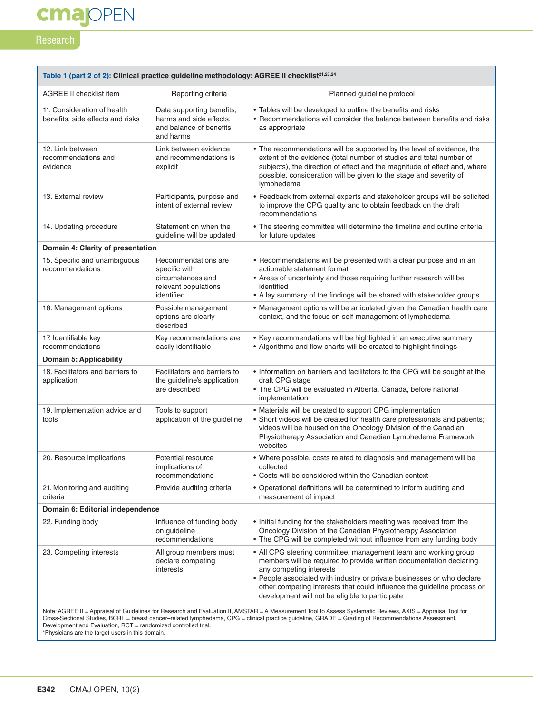## **cmajOPEN**

### Research

п

| Table 1 (part 2 of 2): Clinical practice quideline methodology: AGREE II checklist <sup>21,23,24</sup> |                                                                                                 |                                                                                                                                                                                                                                                                                                                                                                           |  |  |
|--------------------------------------------------------------------------------------------------------|-------------------------------------------------------------------------------------------------|---------------------------------------------------------------------------------------------------------------------------------------------------------------------------------------------------------------------------------------------------------------------------------------------------------------------------------------------------------------------------|--|--|
| <b>AGREE II checklist item</b>                                                                         | Reporting criteria                                                                              | Planned guideline protocol                                                                                                                                                                                                                                                                                                                                                |  |  |
| 11. Consideration of health<br>benefits, side effects and risks                                        | Data supporting benefits,<br>harms and side effects.<br>and balance of benefits<br>and harms    | • Tables will be developed to outline the benefits and risks<br>• Recommendations will consider the balance between benefits and risks<br>as appropriate                                                                                                                                                                                                                  |  |  |
| 12. Link between<br>recommendations and<br>evidence                                                    | Link between evidence<br>and recommendations is<br>explicit                                     | • The recommendations will be supported by the level of evidence, the<br>extent of the evidence (total number of studies and total number of<br>subjects), the direction of effect and the magnitude of effect and, where<br>possible, consideration will be given to the stage and severity of<br>lymphedema                                                             |  |  |
| 13. External review                                                                                    | Participants, purpose and<br>intent of external review                                          | • Feedback from external experts and stakeholder groups will be solicited<br>to improve the CPG quality and to obtain feedback on the draft<br>recommendations                                                                                                                                                                                                            |  |  |
| 14. Updating procedure                                                                                 | Statement on when the<br>guideline will be updated                                              | • The steering committee will determine the timeline and outline criteria<br>for future updates                                                                                                                                                                                                                                                                           |  |  |
| Domain 4: Clarity of presentation                                                                      |                                                                                                 |                                                                                                                                                                                                                                                                                                                                                                           |  |  |
| 15. Specific and unambiguous<br>recommendations                                                        | Recommendations are<br>specific with<br>circumstances and<br>relevant populations<br>identified | • Recommendations will be presented with a clear purpose and in an<br>actionable statement format<br>• Areas of uncertainty and those requiring further research will be<br>identified<br>• A lay summary of the findings will be shared with stakeholder groups                                                                                                          |  |  |
| 16. Management options                                                                                 | Possible management<br>options are clearly<br>described                                         | • Management options will be articulated given the Canadian health care<br>context, and the focus on self-management of lymphedema                                                                                                                                                                                                                                        |  |  |
| 17. Identifiable key<br>recommendations                                                                | Key recommendations are<br>easily identifiable                                                  | • Key recommendations will be highlighted in an executive summary<br>• Algorithms and flow charts will be created to highlight findings                                                                                                                                                                                                                                   |  |  |
| Domain 5: Applicability                                                                                |                                                                                                 |                                                                                                                                                                                                                                                                                                                                                                           |  |  |
| 18. Facilitators and barriers to<br>application                                                        | Facilitators and barriers to<br>the guideline's application<br>are described                    | . Information on barriers and facilitators to the CPG will be sought at the<br>draft CPG stage<br>• The CPG will be evaluated in Alberta, Canada, before national<br>implementation                                                                                                                                                                                       |  |  |
| 19. Implementation advice and<br>tools                                                                 | Tools to support<br>application of the guideline                                                | • Materials will be created to support CPG implementation<br>• Short videos will be created for health care professionals and patients;<br>videos will be housed on the Oncology Division of the Canadian<br>Physiotherapy Association and Canadian Lymphedema Framework<br>websites                                                                                      |  |  |
| 20. Resource implications                                                                              | Potential resource<br>implications of<br>recommendations                                        | • Where possible, costs related to diagnosis and management will be<br>collected<br>• Costs will be considered within the Canadian context                                                                                                                                                                                                                                |  |  |
| 21. Monitoring and auditing<br>criteria                                                                | Provide auditing criteria                                                                       | • Operational definitions will be determined to inform auditing and<br>measurement of impact                                                                                                                                                                                                                                                                              |  |  |
| Domain 6: Editorial independence                                                                       |                                                                                                 |                                                                                                                                                                                                                                                                                                                                                                           |  |  |
| 22. Funding body                                                                                       | Influence of funding body<br>on guideline<br>recommendations                                    | • Initial funding for the stakeholders meeting was received from the<br>Oncology Division of the Canadian Physiotherapy Association<br>• The CPG will be completed without influence from any funding body                                                                                                                                                                |  |  |
| 23. Competing interests                                                                                | All group members must<br>declare competing<br>interests                                        | • All CPG steering committee, management team and working group<br>members will be required to provide written documentation declaring<br>any competing interests<br>• People associated with industry or private businesses or who declare<br>other competing interests that could influence the guideline process or<br>development will not be eligible to participate |  |  |
| Development and Evaluation. RCT = randomized controlled trial.                                         |                                                                                                 | Note: AGREE II = Appraisal of Guidelines for Research and Evaluation II, AMSTAR = A Measurement Tool to Assess Systematic Reviews, AXIS = Appraisal Tool for<br>Cross-Sectional Studies, BCRL = breast cancer-related lymphedema, CPG = clinical practice guideline, GRADE = Grading of Recommendations Assessment,                                                       |  |  |

Development and Evaluation, RCT = randomized controlled trial. \*Physicians are the target users in this domain.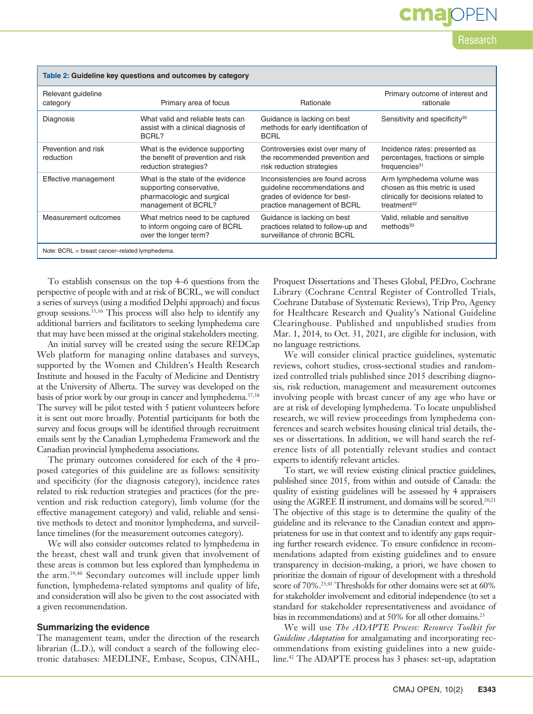| Table 2: Guideline key questions and outcomes by category |                                                                                                                    |                                                                                                                                  |                                                                                                                              |  |  |
|-----------------------------------------------------------|--------------------------------------------------------------------------------------------------------------------|----------------------------------------------------------------------------------------------------------------------------------|------------------------------------------------------------------------------------------------------------------------------|--|--|
| Relevant guideline<br>category                            | Primary area of focus                                                                                              | Rationale                                                                                                                        | Primary outcome of interest and<br>rationale                                                                                 |  |  |
| Diagnosis                                                 | What valid and reliable tests can<br>assist with a clinical diagnosis of<br>BCRL?                                  | Guidance is lacking on best<br>methods for early identification of<br><b>BCRL</b>                                                | Sensitivity and specificity <sup>30</sup>                                                                                    |  |  |
| Prevention and risk<br>reduction                          | What is the evidence supporting<br>the benefit of prevention and risk<br>reduction strategies?                     | Controversies exist over many of<br>the recommended prevention and<br>risk reduction strategies                                  | Incidence rates: presented as<br>percentages, fractions or simple<br>$f$ requencies $31$                                     |  |  |
| Effective management                                      | What is the state of the evidence<br>supporting conservative,<br>pharmacologic and surgical<br>management of BCRL? | Inconsistencies are found across<br>quideline recommendations and<br>grades of evidence for best-<br>practice management of BCRL | Arm lymphedema volume was<br>chosen as this metric is used<br>clinically for decisions related to<br>treatment <sup>32</sup> |  |  |
| Measurement outcomes                                      | What metrics need to be captured<br>to inform ongoing care of BCRL<br>over the longer term?                        | Guidance is lacking on best<br>practices related to follow-up and<br>surveillance of chronic BCRL                                | Valid, reliable and sensitive<br>methods <sup>33</sup>                                                                       |  |  |

Note: BCRL = breast cancer–related lymphedema.

To establish consensus on the top 4–6 questions from the perspective of people with and at risk of BCRL, we will conduct a series of surveys (using a modified Delphi approach) and focus group sessions.35,36 This process will also help to identify any additional barriers and facilitators to seeking lymphedema care that may have been missed at the original stakeholders meeting.

An initial survey will be created using the secure REDCap Web platform for managing online databases and surveys, supported by the Women and Children's Health Research Institute and housed in the Faculty of Medicine and Dentistry at the University of Alberta. The survey was developed on the basis of prior work by our group in cancer and lymphedema.37,38 The survey will be pilot tested with 5 patient volunteers before it is sent out more broadly. Potential participants for both the survey and focus groups will be identified through recruitment emails sent by the Canadian Lymphedema Framework and the Canadian provincial lymphedema associations.

The primary outcomes considered for each of the 4 proposed categories of this guideline are as follows: sensitivity and specificity (for the diagnosis category), incidence rates related to risk reduction strategies and practices (for the prevention and risk reduction category), limb volume (for the effective management category) and valid, reliable and sensitive methods to detect and monitor lymphedema, and surveillance timelines (for the measurement outcomes category).

We will also consider outcomes related to lymphedema in the breast, chest wall and trunk given that involvement of these areas is common but less explored than lymphedema in the arm.39,40 Secondary outcomes will include upper limb function, lymphedema-related symptoms and quality of life, and consideration will also be given to the cost associated with a given recommendation.

#### **Summarizing the evidence**

The management team, under the direction of the research librarian (L.D.), will conduct a search of the following electronic databases: MEDLINE, Embase, Scopus, CINAHL, Proquest Dissertations and Theses Global, PEDro, Cochrane Library (Cochrane Central Register of Controlled Trials, Cochrane Database of Systematic Reviews), Trip Pro, Agency for Healthcare Research and Quality's National Guideline Clearinghouse. Published and unpublished studies from Mar. 1, 2014, to Oct. 31, 2021, are eligible for inclusion, with no language restrictions.

Research

cma

We will consider clinical practice guidelines, systematic reviews, cohort studies, cross-sectional studies and randomized controlled trials published since 2015 describing diagnosis, risk reduction, management and measurement outcomes involving people with breast cancer of any age who have or are at risk of developing lymphedema. To locate unpublished research, we will review proceedings from lymphedema conferences and search websites housing clinical trial details, theses or dissertations. In addition, we will hand search the reference lists of all potentially relevant studies and contact experts to identify relevant articles.

To start, we will review existing clinical practice guidelines, published since 2015, from within and outside of Canada: the quality of existing guidelines will be assessed by 4 appraisers using the AGREE II instrument, and domains will be scored.<sup>20,21</sup> The objective of this stage is to determine the quality of the guideline and its relevance to the Canadian context and appropriateness for use in that context and to identify any gaps requiring further research evidence. To ensure confidence in recommendations adapted from existing guidelines and to ensure transparency in decision-making, a priori, we have chosen to prioritize the domain of rigour of development with a threshold score of 70%.<sup>23,41</sup> Thresholds for other domains were set at 60% for stakeholder involvement and editorial independence (to set a standard for stakeholder representativeness and avoidance of bias in recommendations) and at 50% for all other domains.<sup>23</sup>

We will use *The ADAPTE Process: Resource Toolkit for Guideline Adaptation* for amalgamating and incorporating recommendations from existing guidelines into a new guideline.42 The ADAPTE process has 3 phases: set-up, adaptation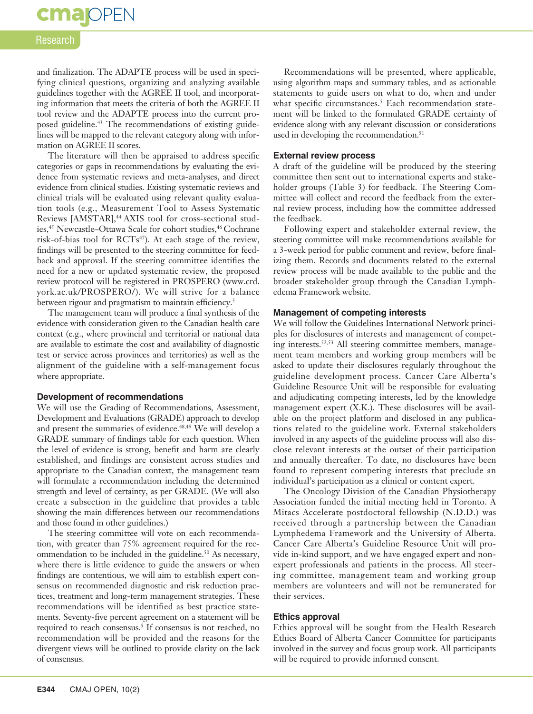### **cma** OPEN

### Research

and finalization. The ADAPTE process will be used in specifying clinical questions, organizing and analyzing available guidelines together with the AGREE II tool, and incorporating information that meets the criteria of both the AGREE II tool review and the ADAPTE process into the current proposed guideline.<sup>43</sup> The recommendations of existing guidelines will be mapped to the relevant category along with information on AGREE II scores.

The literature will then be appraised to address specific categories or gaps in recommendations by evaluating the evidence from systematic reviews and meta-analyses, and direct evidence from clinical studies. Existing systematic reviews and clinical trials will be evaluated using relevant quality evaluation tools (e.g., Measurement Tool to Assess Systematic Reviews [AMSTAR],<sup>44</sup> AXIS tool for cross-sectional studies,<sup>45</sup> Newcastle–Ottawa Scale for cohort studies,<sup>46</sup> Cochrane risk-of-bias tool for  $\text{RCTs}^{47}$ ). At each stage of the review, findings will be presented to the steering committee for feedback and approval. If the steering committee identifies the need for a new or updated systematic review, the proposed review protocol will be registered in PROSPERO (www.crd. york.ac.uk/PROSPERO/). We will strive for a balance between rigour and pragmatism to maintain efficiency.<sup>5</sup>

The management team will produce a final synthesis of the evidence with consideration given to the Canadian health care context (e.g., where provincial and territorial or national data are available to estimate the cost and availability of diagnostic test or service across provinces and territories) as well as the alignment of the guideline with a self-management focus where appropriate.

#### **Development of recommendations**

We will use the Grading of Recommendations, Assessment, Development and Evaluations (GRADE) approach to develop and present the summaries of evidence.<sup>48,49</sup> We will develop a GRADE summary of findings table for each question. When the level of evidence is strong, benefit and harm are clearly established, and findings are consistent across studies and appropriate to the Canadian context, the management team will formulate a recommendation including the determined strength and level of certainty, as per GRADE. (We will also create a subsection in the guideline that provides a table showing the main differences between our recommendations and those found in other guidelines.)

The steering committee will vote on each recommendation, with greater than 75% agreement required for the recommendation to be included in the guideline.<sup>50</sup> As necessary, where there is little evidence to guide the answers or when findings are contentious, we will aim to establish expert consensus on recommended diagnostic and risk reduction practices, treatment and long-term management strategies. These recommendations will be identified as best practice statements. Seventy-five percent agreement on a statement will be required to reach consensus.<sup>5</sup> If consensus is not reached, no recommendation will be provided and the reasons for the divergent views will be outlined to provide clarity on the lack of consensus.

Recommendations will be presented, where applicable, using algorithm maps and summary tables, and as actionable statements to guide users on what to do, when and under what specific circumstances.<sup>5</sup> Each recommendation statement will be linked to the formulated GRADE certainty of evidence along with any relevant discussion or considerations used in developing the recommendation.<sup>51</sup>

### **External review process**

A draft of the guideline will be produced by the steering committee then sent out to international experts and stakeholder groups (Table 3) for feedback. The Steering Committee will collect and record the feedback from the external review process, including how the committee addressed the feedback.

Following expert and stakeholder external review, the steering committee will make recommendations available for a 3-week period for public comment and review, before finalizing them. Records and documents related to the external review process will be made available to the public and the broader stakeholder group through the Canadian Lymphedema Framework website.

### **Management of competing interests**

We will follow the Guidelines International Network principles for disclosures of interests and management of competing interests.<sup>52,53</sup> All steering committee members, management team members and working group members will be asked to update their disclosures regularly throughout the guideline development process. Cancer Care Alberta's Guideline Resource Unit will be responsible for evaluating and adjudicating competing interests, led by the knowledge management expert (X.K.). These disclosures will be available on the project platform and disclosed in any publications related to the guideline work. External stakeholders involved in any aspects of the guideline process will also disclose relevant interests at the outset of their participation and annually thereafter. To date, no disclosures have been found to represent competing interests that preclude an individual's participation as a clinical or content expert.

The Oncology Division of the Canadian Physiotherapy Association funded the initial meeting held in Toronto. A Mitacs Accelerate postdoctoral fellowship (N.D.D.) was received through a partnership between the Canadian Lymphedema Framework and the University of Alberta. Cancer Care Alberta's Guideline Resource Unit will provide in-kind support, and we have engaged expert and nonexpert professionals and patients in the process. All steering committee, management team and working group members are volunteers and will not be remunerated for their services.

### **Ethics approval**

Ethics approval will be sought from the Health Research Ethics Board of Alberta Cancer Committee for participants involved in the survey and focus group work. All participants will be required to provide informed consent.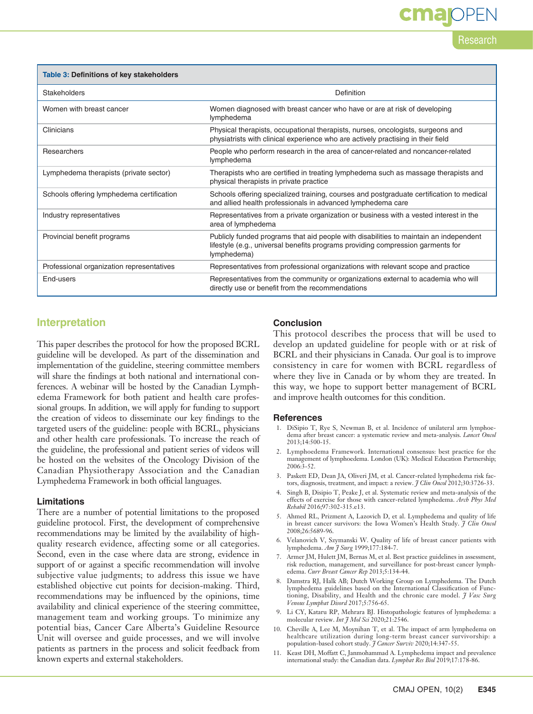# **cmajOPEN**

Research

| Table 3: Definitions of key stakeholders  |                                                                                                                                                                                         |  |  |
|-------------------------------------------|-----------------------------------------------------------------------------------------------------------------------------------------------------------------------------------------|--|--|
| Stakeholders                              | Definition                                                                                                                                                                              |  |  |
| Women with breast cancer                  | Women diagnosed with breast cancer who have or are at risk of developing<br>lymphedema                                                                                                  |  |  |
| Clinicians                                | Physical therapists, occupational therapists, nurses, oncologists, surgeons and<br>physiatrists with clinical experience who are actively practising in their field                     |  |  |
| Researchers                               | People who perform research in the area of cancer-related and noncancer-related<br>lymphedema                                                                                           |  |  |
| Lymphedema therapists (private sector)    | Therapists who are certified in treating lymphedema such as massage therapists and<br>physical therapists in private practice                                                           |  |  |
| Schools offering lymphedema certification | Schools offering specialized training, courses and postgraduate certification to medical<br>and allied health professionals in advanced lymphedema care                                 |  |  |
| Industry representatives                  | Representatives from a private organization or business with a vested interest in the<br>area of lymphedema                                                                             |  |  |
| Provincial benefit programs               | Publicly funded programs that aid people with disabilities to maintain an independent<br>lifestyle (e.g., universal benefits programs providing compression garments for<br>lymphedema) |  |  |
| Professional organization representatives | Representatives from professional organizations with relevant scope and practice                                                                                                        |  |  |
| End-users                                 | Representatives from the community or organizations external to academia who will<br>directly use or benefit from the recommendations                                                   |  |  |

### **Interpretation**

This paper describes the protocol for how the proposed BCRL guideline will be developed. As part of the dissemination and implementation of the guideline, steering committee members will share the findings at both national and international conferences. A webinar will be hosted by the Canadian Lymphedema Framework for both patient and health care professional groups. In addition, we will apply for funding to support the creation of videos to disseminate our key findings to the targeted users of the guideline: people with BCRL, physicians and other health care professionals. To increase the reach of the guideline, the professional and patient series of videos will be hosted on the websites of the Oncology Division of the Canadian Physiotherapy Association and the Canadian Lymphedema Framework in both official languages.

### **Limitations**

There are a number of potential limitations to the proposed guideline protocol. First, the development of comprehensive recommendations may be limited by the availability of highquality research evidence, affecting some or all categories. Second, even in the case where data are strong, evidence in support of or against a specific recommendation will involve subjective value judgments; to address this issue we have established objective cut points for decision-making. Third, recommendations may be influenced by the opinions, time availability and clinical experience of the steering committee, management team and working groups. To minimize any potential bias, Cancer Care Alberta's Guideline Resource Unit will oversee and guide processes, and we will involve patients as partners in the process and solicit feedback from known experts and external stakeholders.

### **Conclusion**

This protocol describes the process that will be used to develop an updated guideline for people with or at risk of BCRL and their physicians in Canada. Our goal is to improve consistency in care for women with BCRL regardless of where they live in Canada or by whom they are treated. In this way, we hope to support better management of BCRL and improve health outcomes for this condition.

### **References**

- 1. DiSipio T, Rye S, Newman B, et al. Incidence of unilateral arm lymphoedema after breast cancer: a systematic review and meta-analysis. *Lancet Oncol* 2013;14:500-15.
- 2. Lymphoedema Framework. International consensus: best practice for the management of lymphoedema. London (UK): Medical Education Partnership; 2006:3-52.
- 3. Paskett ED, Dean JA, Oliveri JM, et al. Cancer-related lymphedema risk factors, diagnosis, treatment, and impact: a review. *J Clin Oncol* 2012;30:3726-33.
- 4. Singh B, Disipio T, Peake J, et al. Systematic review and meta-analysis of the effects of exercise for those with cancer-related lymphedema. *Arch Phys Med Rehabil* 2016;97:302-315.e13.
- 5. Ahmed RL, Prizment A, Lazovich D, et al. Lymphedema and quality of life in breast cancer survivors: the Iowa Women's Health Study. *J Clin Oncol* 2008;26:5689-96.
- 6. Velanovich V, Szymanski W. Quality of life of breast cancer patients with lymphedema. *Am J Surg* 1999;177:184-7.
- 7. Armer JM, Hulett JM, Bernas M, et al. Best practice guidelines in assessment, risk reduction, management, and surveillance for post-breast cancer lymphedema. *Curr Breast Cancer Rep* 2013;5:134-44.
- 8. Damstra RJ, Halk AB; Dutch Working Group on Lymphedema. The Dutch lymphedema guidelines based on the International Classification of Functioning, Disability, and Health and the chronic care model. *J Vasc Surg Venous Lymphat Disord* 2017;5:756-65.
- 9. Li CY, Kataru RP, Mehrara BJ. Histopathologic features of lymphedema: a molecular review. *Int J Mol Sci* 2020;21:2546.
- 10. Cheville A, Lee M, Moynihan T, et al. The impact of arm lymphedema on healthcare utilization during long-term breast cancer survivorship: a population-based cohort study. *J Cancer Surviv* 2020;14:347-55.
- 11. Keast DH, Moffatt C, Janmohammad A. Lymphedema impact and prevalence international study: the Canadian data. *Lymphat Res Biol* 2019;17:178-86.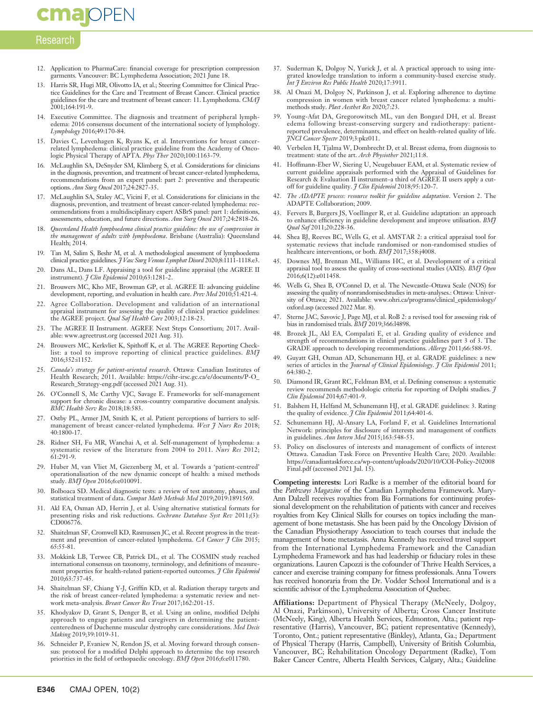### **cmajoPEN**

### Research

- 12. Application to PharmaCare: financial coverage for prescription compression garments. Vancouver: BC Lymphedema Association; 2021 June 18.
- 13. Harris SR, Hugi MR, Olivotto IA, et al.; Steering Committee for Clinical Practice Guidelines for the Care and Treatment of Breast Cancer. Clinical practice guidelines for the care and treatment of breast cancer: 11. Lymphedema. *CMAJ* 2001;164:191-9.
- 14. Executive Committee. The diagnosis and treatment of peripheral lymphedema: 2016 consensus document of the international society of lymphology. *Lymphology* 2016;49:170-84.
- 15. Davies C, Levenhagen K, Ryans K, et al. Interventions for breast cancerrelated lymphedema: clinical practice guideline from the Academy of Oncologic Physical Therapy of APTA. *Phys Ther* 2020;100:1163-79.
- 16. McLaughlin SA, DeSnyder SM, Klimberg S, et al. Considerations for clinicians in the diagnosis, prevention, and treatment of breast cancer-related lymphedema, recommendations from an expert panel: part 2: preventive and therapeutic options. *Ann Surg Oncol* 2017;24:2827-35.
- 17. McLaughlin SA, Staley AC, Vicini F, et al. Considerations for clinicians in the diagnosis, prevention, and treatment of breast cancer-related lymphedema: recommendations from a multidisciplinary expert ASBrS panel: part 1: definitions, assessments, education, and future directions. *Ann Surg Oncol* 2017;24:2818-26.
- 18. *Queensland Health lymphoedema clinical practice guideline: the use of compression in the management of adults with lymphoedema*. Brisbane (Australia): Queensland Health; 2014.
- 19. Tan M, Salim S, Beshr M, et al. A methodological assessment of lymphoedema clinical practice guidelines. *J Vasc Surg Venous Lymphat Disord* 2020;8:1111-1118.e3.
- 20. Dans AL, Dans LF. Appraising a tool for guideline appraisal (the AGREE II instrument). *J Clin Epidemiol* 2010;63:1281-2.
- 21. Brouwers MC, Kho ME, Browman GP, et al. AGREE II: advancing guideline development, reporting, and evaluation in health care. *Prev Med* 2010;51:421-4.
- 22. Agree Collaboration. Development and validation of an international appraisal instrument for assessing the quality of clinical practice guidelines: the AGREE project. *Qual Saf Health Care* 2003;12:18-23.
- The AGREE II Instrument. AGREE Next Steps Consortium; 2017. Available: www.agreetrust.org (accessed 2021 Aug. 31).
- 24. Brouwers MC, Kerkvliet K, Spithoff K, et al. The AGREE Reporting Checklist: a tool to improve reporting of clinical practice guidelines. *BMJ* 2016;352:i1152.
- 25. *Canada's strategy for patient-oriented research*. Ottawa: Canadian Institutes of Health Research; 2011. Available: https://cihr-irsc.gc.ca/e/documents/P-O\_ Research\_Strategy-eng.pdf (accessed 2021 Aug. 31).
- 26. O'Connell S, Mc Carthy VJC, Savage E. Frameworks for self-management port for chronic disease: a cross-country comparative document analysis. *BMC Health Serv Res* 2018;18:583.
- 27. Ostby PL, Armer JM, Smith K, et al. Patient perceptions of barriers to selfmanagement of breast cancer-related lymphedema. *West J Nurs Res* 2018; 40:1800-17.
- 28. Ridner SH, Fu MR, Wanchai A, et al. Self-management of lymphedema: a systematic review of the literature from 2004 to 2011. *Nurs Res* 2012; 61:291-9.
- 29. Huber M, van Vliet M, Giezenberg M, et al. Towards a 'patient-centred' operationalisation of the new dynamic concept of health: a mixed methods study. *BMJ Open* 2016;6:e010091.
- 30. Bolboaca SD. Medical diagnostic tests: a review of test anatomy, phases, and statistical treatment of data. *Comput Math Methods Med* 2019;2019:1891569.
- 31. Akl EA, Oxman AD, Herrin J, et al. Using alternative statistical formats for presenting risks and risk reductions. *Cochrane Database Syst Rev* 2011;(3): CD006776.
- 32. Shaitelman SF, Cromwell KD, Rasmussen JC, et al. Recent progress in the treatment and prevention of cancer-related lymphedema. *CA Cancer J Clin* 2015; 65:55-81.
- 33. Mokkink LB, Terwee CB, Patrick DL, et al. The COSMIN study reached international consensus on taxonomy, terminology, and definitions of measurement properties for health-related patient-reported outcomes. *J Clin Epidemiol* 2010;63:737-45.
- 34. Shaitelman SF, Chiang Y-J, Griffin KD, et al. Radiation therapy targets and the risk of breast cancer-related lymphedema: a systematic review and network meta-analysis. *Breast Cancer Res Treat* 2017;162:201-15.
- 35. Khodyakov D, Grant S, Denger B, et al. Using an online, modified Delphi approach to engage patients and caregivers in determining the patientcenteredness of Duchenne muscular dystrophy care considerations. *Med Decis Making* 2019;39:1019-31.
- 36. Schneider P, Evaniew N, Rendon JS, et al. Moving forward through consensus: protocol for a modified Delphi approach to determine the top research priorities in the field of orthopaedic oncology. *BMJ Open* 2016;6:e011780.
- 37. Suderman K, Dolgoy N, Yurick J, et al. A practical approach to using integrated knowledge translation to inform a community-based exercise study. *Int J Environ Res Public Health* 2020;17:3911.
- 38. Al Onazi M, Dolgoy N, Parkinson J, et al. Exploring adherence to daytime compression in women with breast cancer related lymphedema: a multimethods study. *Plast Aesthet Res* 2020;7:23.
- 39. Young-Afat DA, Gregorowitsch ML, van den Bongard DH, et al. Breast edema following breast-conserving surgery and radiotherapy: patientreported prevalence, determinants, and effect on health-related quality of life. *JNCI Cancer Spectr* 2019;3:pkz011.
- 40. Verbelen H, Tjalma W, Dombrecht D, et al. Breast edema, from diagnosis to treatment: state of the art. *Arch Physiother* 2021;11:8.
- 41. Hoffmann-Eber W, Siering U, Neugebauer EAM, et al. Systematic review of current guideline appraisals performed with the Appraisal of Guidelines for Research & Evaluation II instrument–a third of AGREE II users apply a cutoff for guideline quality. *J Clin Epidemiol* 2018;95:120-7.
- 42. *The ADAPTE process: resource toolkit for guideline adaptation*. Version 2. The ADAPTE Collaboration; 2009.
- 43. Fervers B, Burgers JS, Voellinger R, et al. Guideline adaptation: an approach to enhance efficiency in guideline development and improve utilisation. *BMJ Qual Saf* 2011;20:228-36.
- Shea BJ, Reeves BC, Wells G, et al. AMSTAR 2: a critical appraisal tool for systematic reviews that include randomised or non-randomised studies of healthcare interventions, or both. *BMJ* 2017;358:j4008.
- 45. Downes MJ, Brennan ML, Williams HC, et al. Development of a critical appraisal tool to assess the quality of cross-sectional studies (AXIS). *BMJ Open* 2016;6(12):e011458.
- 46. Wells G, Shea B, O'Connel D, et al. The Newcastle–Ottawa Scale (NOS) for assessing the quality of nonrandomisedstudies in meta-analyses.: Ottawa: University of Ottawa; 2021. Available: www.ohri.ca/programs/clinical\_epidemiology/ oxford.asp (accessed 2022 Mar. 8).
- 47. Sterne JAC, Savovic J, Page MJ, et al. RoB 2: a revised tool for assessing risk of bias in randomised trials. *BMJ* 2019;366:l4898.
- 48. Brozek JL, Akl EA, Compalati E, et al. Grading quality of evidence and strength of recommendations in clinical practice guidelines part 3 of 3. The GRADE approach to developing recommendations. *Allergy* 2011;66:588-95.
- 49. Guyatt GH, Oxman AD, Schunemann HJ, et al. GRADE guidelines: a new series of articles in the *Journal of Clinical Epidemiology*. *J Clin Epidemiol* 2011; 64:380-2.
- 50. Diamond IR, Grant RC, Feldman BM, et al. Defining consensus: a systematic review recommends methodologic criteria for reporting of Delphi studies. *J Clin Epidemiol* 2014;67:401-9.
- 51. Balshem H, Helfand M, Schunemann HJ, et al. GRADE guidelines: 3. Rating the quality of evidence. *J Clin Epidemiol* 2011;64:401-6.
- 52. Schunemann HJ, Al-Ansary LA, Forland F, et al. Guidelines International Network: principles for disclosure of interests and management of conflicts in guidelines. *Ann Intern Med* 2015;163:548-53.
- 53. Policy on disclosures of interests and management of conflicts of interest Ottawa. Canadian Task Force on Preventive Health Care; 2020. Available: https://canadiantaskforce.ca/wp-content/uploads/2020/10/COI-Policy-202008 Final.pdf (accessed 2021 Jul. 15).

**Competing interests:** Lori Radke is a member of the editorial board for the *Pathways Magazine* of the Canadian Lymphedema Framework. Mary-Ann Dalzell receives royalties from Bia Formations for continuing professional development on the rehabilitation of patients with cancer and receives royalties from Key Clinical Skills for courses on topics including the management of bone metastasis. She has been paid by the Oncology Division of the Canadian Physiotherapy Association to teach courses that include the management of bone metastasis. Anna Kennedy has received travel support from the International Lymphedema Framework and the Canadian Lymphedema Framework and has had leadership or fiduciary roles in these organizations. Lauren Capozzi is the cofounder of Thrive Health Services, a cancer and exercise training company for fitness professionals. Anna Towers has received honoraria from the Dr. Vodder School International and is a scientific advisor of the Lymphedema Association of Quebec.

**Affiliations:** Department of Physical Therapy (McNeely, Dolgoy, Al Onazi, Parkinson), University of Alberta; Cross Cancer Institute (McNeely, King), Alberta Health Services, Edmonton, Alta.; patient representative (Harris), Vancouver, BC; patient representative (Kennedy), Toronto, Ont.; patient representative (Binkley), Atlanta, Ga.; Department of Physical Therapy (Harris, Campbell), University of British Columbia, Vancouver, BC; Rehabilitation Oncology Department (Radke), Tom Baker Cancer Centre, Alberta Health Services, Calgary, Alta.; Guideline